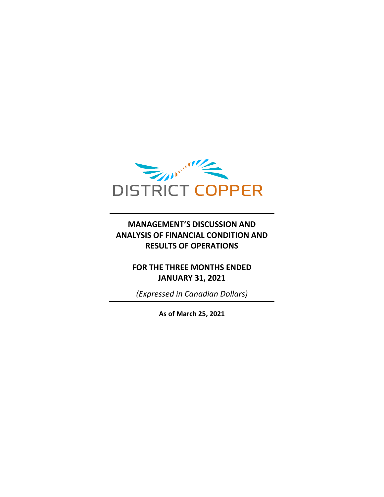

# **MANAGEMENT'S DISCUSSION AND ANALYSIS OF FINANCIAL CONDITION AND RESULTS OF OPERATIONS**

# **FOR THE THREE MONTHS ENDED JANUARY 31, 2021**

*(Expressed in Canadian Dollars)*

**As of March 25, 2021**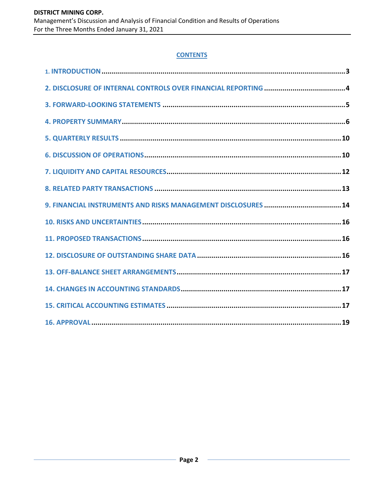### **CONTENTS**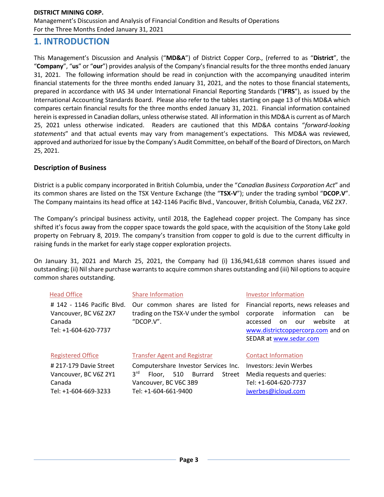# **1. INTRODUCTION**

This Management's Discussion and Analysis ("**MD&A**") of District Copper Corp., (referred to as "**District**", the "**Company**", "**us**" or "**our**") provides analysis of the Company's financial results for the three months ended January 31, 2021. The following information should be read in conjunction with the accompanying unaudited interim financial statements for the three months ended January 31, 2021, and the notes to those financial statements, prepared in accordance with IAS 34 under International Financial Reporting Standards ("**IFRS**"), as issued by the International Accounting Standards Board. Please also refer to the tables starting on page 13 of this MD&A which compares certain financial results for the three months ended January 31, 2021. Financial information contained herein is expressed in Canadian dollars, unless otherwise stated. All information in this MD&A is current as of March 25, 2021 unless otherwise indicated. Readers are cautioned that this MD&A contains "*forward-looking statements*" and that actual events may vary from management's expectations. This MD&A was reviewed, approved and authorized for issue by the Company's Audit Committee, on behalf of the Board of Directors, on March 25, 2021.

### **Description of Business**

District is a public company incorporated in British Columbia, under the "*Canadian Business Corporation Act*" and its common shares are listed on the TSX Venture Exchange (the "**TSX-V**"); under the trading symbol "**DCOP.V**". The Company maintains its head office at 142-1146 Pacific Blvd., Vancouver, British Columbia, Canada, V6Z 2X7.

The Company's principal business activity, until 2018, the Eaglehead copper project. The Company has since shifted it's focus away from the copper space towards the gold space, with the acquisition of the Stony Lake gold property on February 8, 2019. The company's transition from copper to gold is due to the current difficulty in raising funds in the market for early stage copper exploration projects.

On January 31, 2021 and March 25, 2021, the Company had (i) 136,941,618 common shares issued and outstanding; (ii) Nil share purchase warrants to acquire common shares outstanding and (iii) Nil options to acquire common shares outstanding.

| <b>Head Office</b>                                                                    | <b>Share Information</b>                                                                                                                       | Investor Information                                                                                                                                                                   |  |  |  |
|---------------------------------------------------------------------------------------|------------------------------------------------------------------------------------------------------------------------------------------------|----------------------------------------------------------------------------------------------------------------------------------------------------------------------------------------|--|--|--|
| # 142 - 1146 Pacific Blvd.<br>Vancouver, BC V6Z 2X7<br>Canada<br>Tel: +1-604-620-7737 | Our common shares are listed for<br>trading on the TSX-V under the symbol<br>"DCOP.V".                                                         | Financial reports, news releases and<br>information<br>corporate<br>be<br>can<br>website<br>accessed<br>on<br>our<br>at<br>www.districtcoppercorp.com and on<br>SEDAR at www.sedar.com |  |  |  |
| <b>Registered Office</b>                                                              | <b>Transfer Agent and Registrar</b>                                                                                                            | <b>Contact Information</b>                                                                                                                                                             |  |  |  |
| #217-179 Davie Street<br>Vancouver, BC V6Z 2Y1<br>Canada<br>Tel: +1-604-669-3233      | Computershare Investor Services Inc.<br>3 <sup>rd</sup><br>Burrard<br>510<br>Street<br>Floor.<br>Vancouver, BC V6C 3B9<br>Tel: +1-604-661-9400 | Investors: Jevin Werbes<br>Media requests and queries:<br>Tel: +1-604-620-7737<br>jwerbes@icloud.com                                                                                   |  |  |  |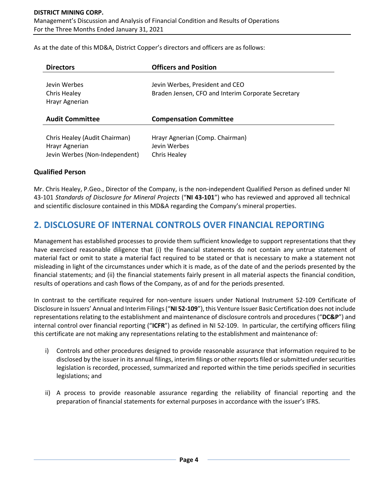As at the date of this MD&A, District Copper's directors and officers are as follows:

| <b>Directors</b>                               | <b>Officers and Position</b>                                                          |
|------------------------------------------------|---------------------------------------------------------------------------------------|
| Jevin Werbes<br>Chris Healey<br>Hrayr Agnerian | Jevin Werbes, President and CEO<br>Braden Jensen, CFO and Interim Corporate Secretary |
| <b>Audit Committee</b>                         |                                                                                       |
|                                                | <b>Compensation Committee</b>                                                         |

### **Qualified Person**

Mr. Chris Healey, P.Geo., Director of the Company, is the non-independent Qualified Person as defined under NI 43-101 *Standards of Disclosure for Mineral Projects* ("**NI 43-101**") who has reviewed and approved all technical and scientific disclosure contained in this MD&A regarding the Company's mineral properties.

# **2. DISCLOSURE OF INTERNAL CONTROLS OVER FINANCIAL REPORTING**

Management has established processes to provide them sufficient knowledge to support representations that they have exercised reasonable diligence that (i) the financial statements do not contain any untrue statement of material fact or omit to state a material fact required to be stated or that is necessary to make a statement not misleading in light of the circumstances under which it is made, as of the date of and the periods presented by the financial statements; and (ii) the financial statements fairly present in all material aspects the financial condition, results of operations and cash flows of the Company, as of and for the periods presented.

In contrast to the certificate required for non-venture issuers under National Instrument 52-109 Certificate of Disclosure in Issuers' Annual and Interim Filings ("**NI 52-109**"), this Venture Issuer Basic Certification does not include representations relating to the establishment and maintenance of disclosure controls and procedures ("**DC&P**") and internal control over financial reporting ("**ICFR**") as defined in NI 52-109. In particular, the certifying officers filing this certificate are not making any representations relating to the establishment and maintenance of:

- i) Controls and other procedures designed to provide reasonable assurance that information required to be disclosed by the issuer in its annual filings, interim filings or other reports filed or submitted under securities legislation is recorded, processed, summarized and reported within the time periods specified in securities legislations; and
- ii) A process to provide reasonable assurance regarding the reliability of financial reporting and the preparation of financial statements for external purposes in accordance with the issuer's IFRS.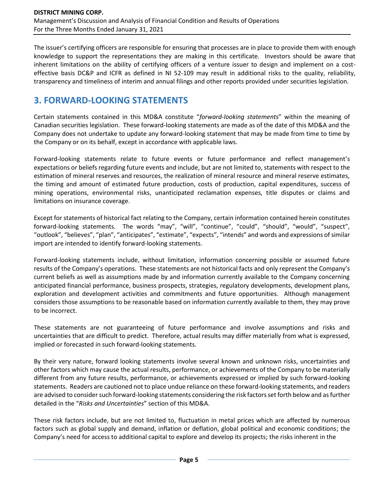The issuer's certifying officers are responsible for ensuring that processes are in place to provide them with enough knowledge to support the representations they are making in this certificate. Investors should be aware that inherent limitations on the ability of certifying officers of a venture issuer to design and implement on a costeffective basis DC&P and ICFR as defined in NI 52-109 may result in additional risks to the quality, reliability, transparency and timeliness of interim and annual filings and other reports provided under securities legislation.

# **3. FORWARD-LOOKING STATEMENTS**

Certain statements contained in this MD&A constitute "*forward-looking statements*" within the meaning of Canadian securities legislation. These forward-looking statements are made as of the date of this MD&A and the Company does not undertake to update any forward-looking statement that may be made from time to time by the Company or on its behalf, except in accordance with applicable laws.

Forward-looking statements relate to future events or future performance and reflect management's expectations or beliefs regarding future events and include, but are not limited to, statements with respect to the estimation of mineral reserves and resources, the realization of mineral resource and mineral reserve estimates, the timing and amount of estimated future production, costs of production, capital expenditures, success of mining operations, environmental risks, unanticipated reclamation expenses, title disputes or claims and limitations on insurance coverage.

Except for statements of historical fact relating to the Company, certain information contained herein constitutes forward-looking statements. The words "may", "will", "continue", "could", "should", "would", "suspect", "outlook", "believes", "plan", "anticipates", "estimate", "expects", "intends" and words and expressions of similar import are intended to identify forward-looking statements.

Forward-looking statements include, without limitation, information concerning possible or assumed future results of the Company's operations. These statements are not historical facts and only represent the Company's current beliefs as well as assumptions made by and information currently available to the Company concerning anticipated financial performance, business prospects, strategies, regulatory developments, development plans, exploration and development activities and commitments and future opportunities. Although management considers those assumptions to be reasonable based on information currently available to them, they may prove to be incorrect.

These statements are not guaranteeing of future performance and involve assumptions and risks and uncertainties that are difficult to predict. Therefore, actual results may differ materially from what is expressed, implied or forecasted in such forward-looking statements.

By their very nature, forward looking statements involve several known and unknown risks, uncertainties and other factors which may cause the actual results, performance, or achievements of the Company to be materially different from any future results, performance, or achievements expressed or implied by such forward-looking statements. Readers are cautioned not to place undue reliance on these forward-looking statements, and readers are advised to consider such forward-looking statements considering the risk factors set forth below and as further detailed in the "*Risks and Uncertainties*" section of this MD&A.

These risk factors include, but are not limited to, fluctuation in metal prices which are affected by numerous factors such as global supply and demand, inflation or deflation, global political and economic conditions; the Company's need for access to additional capital to explore and develop its projects; the risks inherent in the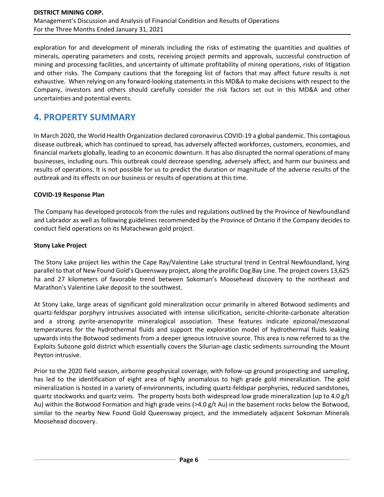exploration for and development of minerals including the risks of estimating the quantities and qualities of minerals, operating parameters and costs, receiving project permits and approvals, successful construction of mining and processing facilities, and uncertainty of ultimate profitability of mining operations, risks of litigation and other risks. The Company cautions that the foregoing list of factors that may affect future results is not exhaustive. When relying on any forward-looking statements in this MD&A to make decisions with respect to the Company, investors and others should carefully consider the risk factors set out in this MD&A and other uncertainties and potential events.

# **4. PROPERTY SUMMARY**

In March 2020, the World Health Organization declared coronavirus COVID-19 a global pandemic. This contagious disease outbreak, which has continued to spread, has adversely affected workforces, customers, economies, and financial markets globally, leading to an economic downturn. It has also disrupted the normal operations of many businesses, including ours. This outbreak could decrease spending, adversely affect, and harm our business and results of operations. It is not possible for us to predict the duration or magnitude of the adverse results of the outbreak and its effects on our business or results of operations at this time.

### **COVID-19 Response Plan**

The Company has developed protocols from the rules and regulations outlined by the Province of Newfoundland and Labrador as well as following guidelines recommended by the Province of Ontario if the Company decides to conduct field operations on its Matachewan gold project.

#### **Stony Lake Project**

The Stony Lake project lies within the Cape Ray/Valentine Lake structural trend in Central Newfoundland, lying parallel to that of New Found Gold's Queensway project, along the prolific Dog Bay Line. The project covers 13,625 ha and 27 kilometers of favorable trend between Sokoman's Moosehead discovery to the northeast and Marathon's Valentine Lake deposit to the southwest.

At Stony Lake, large areas of significant gold mineralization occur primarily in altered Botwood sediments and quartz-feldspar porphyry intrusives associated with intense silicification, sericite-chlorite-carbonate alteration and a strong pyrite-arsenopyrite mineralogical association. These features indicate epizonal/mesozonal temperatures for the hydrothermal fluids and support the exploration model of hydrothermal fluids leaking upwards into the Botwood sediments from a deeper igneous intrusive source. This area is now referred to as the Exploits Subzone gold district which essentially covers the Silurian-age clastic sediments surrounding the Mount Peyton intrusive.

Prior to the 2020 field season, airborne geophysical coverage, with follow-up ground prospecting and sampling, has led to the identification of eight area of highly anomalous to high grade gold mineralization. The gold mineralization is hosted in a variety of environments, including quartz-feldspar porphyries, reduced sandstones, quartz stockworks and quartz veins. The property hosts both widespread low grade mineralization (up to 4.0 g/t Au) within the Botwood Formation and high grade veins (>4.0 g/t Au) in the basement rocks below the Botwood, similar to the nearby New Found Gold Queensway project, and the immediately adjacent Sokoman Minerals Moosehead discovery.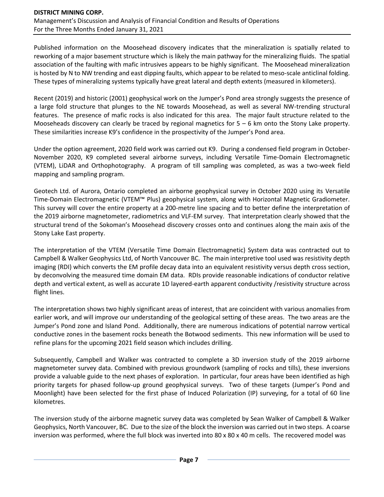Published information on the Moosehead discovery indicates that the mineralization is spatially related to reworking of a major basement structure which is likely the main pathway for the mineralizing fluids. The spatial association of the faulting with mafic intrusives appears to be highly significant. The Moosehead mineralization is hosted by N to NW trending and east dipping faults, which appear to be related to meso-scale anticlinal folding. These types of mineralizing systems typically have great lateral and depth extents (measured in kilometers).

Recent (2019) and historic (2001) geophysical work on the Jumper's Pond area strongly suggests the presence of a large fold structure that plunges to the NE towards Moosehead, as well as several NW-trending structural features. The presence of mafic rocks is also indicated for this area. The major fault structure related to the Mooseheads discovery can clearly be traced by regional magnetics for  $5 - 6$  km onto the Stony Lake property. These similarities increase K9's confidence in the prospectivity of the Jumper's Pond area.

Under the option agreement, 2020 field work was carried out K9. During a condensed field program in October-November 2020, K9 completed several airborne surveys, including Versatile Time-Domain Electromagnetic (VTEM), LiDAR and Orthophotography. A program of till sampling was completed, as was a two-week field mapping and sampling program.

Geotech Ltd. of Aurora, Ontario completed an airborne geophysical survey in October 2020 using its Versatile Time-Domain Electromagnetic (VTEM™ Plus) geophysical system, along with Horizontal Magnetic Gradiometer. This survey will cover the entire property at a 200-metre line spacing and to better define the interpretation of the 2019 airborne magnetometer, radiometrics and VLF-EM survey. That interpretation clearly showed that the structural trend of the Sokoman's Moosehead discovery crosses onto and continues along the main axis of the Stony Lake East property.

The interpretation of the VTEM (Versatile Time Domain Electromagnetic) System data was contracted out to Campbell & Walker Geophysics Ltd, of North Vancouver BC. The main interpretive tool used was resistivity depth imaging (RDI) which converts the EM profile decay data into an equivalent resistivity versus depth cross section, by deconvolving the measured time domain EM data. RDIs provide reasonable indications of conductor relative depth and vertical extent, as well as accurate 1D layered-earth apparent conductivity /resistivity structure across flight lines.

The interpretation shows two highly significant areas of interest, that are coincident with various anomalies from earlier work, and will improve our understanding of the geological setting of these areas. The two areas are the Jumper's Pond zone and Island Pond. Additionally, there are numerous indications of potential narrow vertical conductive zones in the basement rocks beneath the Botwood sediments. This new information will be used to refine plans for the upcoming 2021 field season which includes drilling.

Subsequently, Campbell and Walker was contracted to complete a 3D inversion study of the 2019 airborne magnetometer survey data. Combined with previous groundwork (sampling of rocks and tills), these inversions provide a valuable guide to the next phases of exploration. In particular, four areas have been identified as high priority targets for phased follow-up ground geophysical surveys. Two of these targets (Jumper's Pond and Moonlight) have been selected for the first phase of Induced Polarization (IP) surveying, for a total of 60 line kilometres.

The inversion study of the airborne magnetic survey data was completed by Sean Walker of Campbell & Walker Geophysics, North Vancouver, BC. Due to the size of the block the inversion was carried out in two steps. A coarse inversion was performed, where the full block was inverted into 80 x 80 x 40 m cells. The recovered model was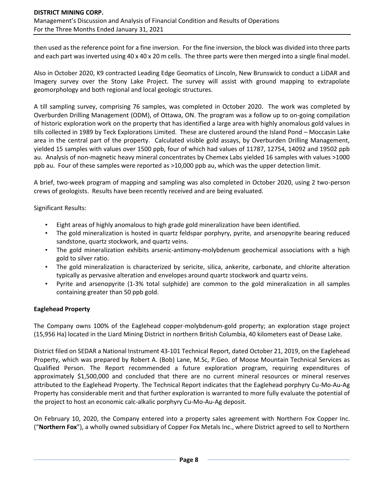then used as the reference point for a fine inversion. For the fine inversion, the block was divided into three parts and each part was inverted using 40 x 40 x 20 m cells. The three parts were then merged into a single final model.

Also in October 2020, K9 contracted Leading Edge Geomatics of Lincoln, New Brunswick to conduct a LiDAR and Imagery survey over the Stony Lake Project. The survey will assist with ground mapping to extrapolate geomorphology and both regional and local geologic structures.

A till sampling survey, comprising 76 samples, was completed in October 2020. The work was completed by Overburden Drilling Management (ODM), of Ottawa, ON. The program was a follow up to on-going compilation of historic exploration work on the property that has identified a large area with highly anomalous gold values in tills collected in 1989 by Teck Explorations Limited. These are clustered around the Island Pond – Moccasin Lake area in the central part of the property. Calculated visible gold assays, by Overburden Drilling Management, yielded 15 samples with values over 1500 ppb, four of which had values of 11787, 12754, 14092 and 19502 ppb au. Analysis of non-magnetic heavy mineral concentrates by Chemex Labs yielded 16 samples with values >1000 ppb au. Four of these samples were reported as >10,000 ppb au, which was the upper detection limit.

A brief, two-week program of mapping and sampling was also completed in October 2020, using 2 two-person crews of geologists. Results have been recently received and are being evaluated.

Significant Results:

- Eight areas of highly anomalous to high grade gold mineralization have been identified.
- The gold mineralization is hosted in quartz feldspar porphyry, pyrite, and arsenopyrite bearing reduced sandstone, quartz stockwork, and quartz veins.
- The gold mineralization exhibits arsenic-antimony-molybdenum geochemical associations with a high gold to silver ratio.
- The gold mineralization is characterized by sericite, silica, ankerite, carbonate, and chlorite alteration typically as pervasive alteration and envelopes around quartz stockwork and quartz veins.
- Pyrite and arsenopyrite (1-3% total sulphide) are common to the gold mineralization in all samples containing greater than 50 ppb gold.

### **Eaglehead Property**

The Company owns 100% of the Eaglehead copper-molybdenum-gold property; an exploration stage project (15,956 Ha) located in the Liard Mining District in northern British Columbia, 40 kilometers east of Dease Lake.

District filed on SEDAR a National Instrument 43-101 Technical Report, dated October 21, 2019, on the Eaglehead Property, which was prepared by Robert A. (Bob) Lane, M.Sc, P.Geo. of Moose Mountain Technical Services as Qualified Person. The Report recommended a future exploration program, requiring expenditures of approximately \$1,500,000 and concluded that there are no current mineral resources or mineral reserves attributed to the Eaglehead Property. The Technical Report indicates that the Eaglehead porphyry Cu-Mo-Au-Ag Property has considerable merit and that further exploration is warranted to more fully evaluate the potential of the project to host an economic calc-alkalic porphyry Cu-Mo-Au-Ag deposit.

On February 10, 2020, the Company entered into a property sales agreement with Northern Fox Copper Inc. ("**Northern Fox**"), a wholly owned subsidiary of Copper Fox Metals Inc., where District agreed to sell to Northern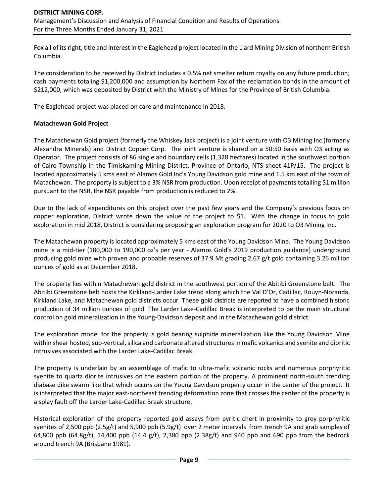Fox all of its right, title and interest in the Eaglehead project located in the Liard Mining Division of northern British Columbia.

The consideration to be received by District includes a 0.5% net smelter return royalty on any future production; cash payments totaling \$1,200,000 and assumption by Northern Fox of the reclamation bonds in the amount of \$212,000, which was deposited by District with the Ministry of Mines for the Province of British Columbia.

The Eaglehead project was placed on care and maintenance in 2018.

#### **Matachewan Gold Project**

The Matachewan Gold project (formerly the Whiskey Jack project) is a joint venture with O3 Mining Inc (formerly Alexandra Minerals) and District Copper Corp. The joint venture is shared on a 50:50 basis with O3 acting as Operator. The project consists of 86 single and boundary cells (1,328 hectares) located in the southwest portion of Cairo Township in the Timiskaming Mining District, Province of Ontario, NTS sheet 41P/15. The project is located approximately 5 kms east of Alamos Gold Inc's Young Davidson gold mine and 1.5 km east of the town of Matachewan. The property is subject to a 3% NSR from production. Upon receipt of payments totalling \$1 million pursuant to the NSR, the NSR payable from production is reduced to 2%.

Due to the lack of expenditures on this project over the past few years and the Company's previous focus on copper exploration, District wrote down the value of the project to \$1. With the change in focus to gold exploration in mid 2018, District is considering proposing an exploration program for 2020 to O3 Mining Inc.

The Matachewan property is located approximately 5 kms east of the Young Davidson Mine. The Young Davidson mine is a mid-tier (180,000 to 190,000 oz's per year - Alamos Gold's 2019 production guidance) underground producing gold mine with proven and probable reserves of 37.9 Mt grading 2.67 g/t gold containing 3.26 million ounces of gold as at December 2018.

The property lies within Matachewan gold district in the southwest portion of the Abitibi Greenstone belt. The Abitibi Greenstone belt hosts the Kirkland-Larder Lake trend along which the Val D'Or, Cadillac, Rouyn-Noranda, Kirkland Lake, and Matachewan gold districts occur. These gold districts are reported to have a combined historic production of 34 million ounces of gold. The Larder Lake-Cadillac Break is interpreted to be the main structural control on gold mineralization in the Young-Davidson deposit and in the Matachewan gold district.

The exploration model for the property is gold bearing sulphide mineralization like the Young Davidson Mine within shear hosted, sub-vertical, silica and carbonate altered structures in mafic volcanics and syenite and dioritic intrusives associated with the Larder Lake-Cadillac Break.

The property is underlain by an assemblage of mafic to ultra-mafic volcanic rocks and numerous porphyritic syenite to quartz diorite intrusives on the eastern portion of the property. A prominent north-south trending diabase dike swarm like that which occurs on the Young Davidson property occur in the center of the project. It is interpreted that the major east-northeast trending deformation zone that crosses the center of the property is a splay fault off the Larder Lake-Cadillac Break structure.

Historical exploration of the property reported gold assays from pyritic chert in proximity to grey porphyritic syenites of 2,500 ppb (2.5g/t) and 5,900 ppb (5.9g/t) over 2 meter intervals from trench 9A and grab samples of 64,800 ppb (64.8g/t), 14,400 ppb (14.4 g/t), 2,380 ppb (2.38g/t) and 940 ppb and 690 ppb from the bedrock around trench 9A (Brisbane 1981).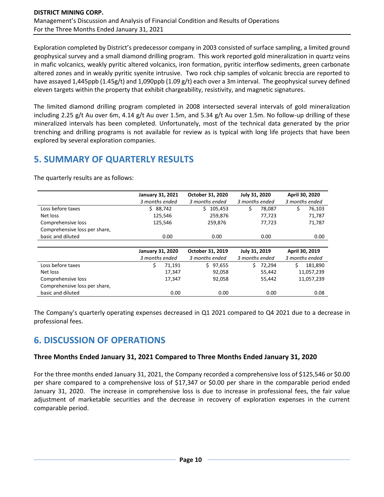Exploration completed by District's predecessor company in 2003 consisted of surface sampling, a limited ground geophysical survey and a small diamond drilling program. This work reported gold mineralization in quartz veins in mafic volcanics, weakly pyritic altered volcanics, iron formation, pyritic interflow sediments, green carbonate altered zones and in weakly pyritic syenite intrusive. Two rock chip samples of volcanic breccia are reported to have assayed 1,445ppb (1.45g/t) and 1,090ppb (1.09 g/t) each over a 3m interval. The geophysical survey defined eleven targets within the property that exhibit chargeability, resistivity, and magnetic signatures.

The limited diamond drilling program completed in 2008 intersected several intervals of gold mineralization including 2.25 g/t Au over 6m, 4.14 g/t Au over 1.5m, and 5.34 g/t Au over 1.5m. No follow-up drilling of these mineralized intervals has been completed. Unfortunately, most of the technical data generated by the prior trenching and drilling programs is not available for review as is typical with long life projects that have been explored by several exploration companies.

# **5. SUMMARY OF QUARTERLY RESULTS**

The quarterly results are as follows:

|                               | <b>January 31, 2021</b> |         | October 31, 2020 |               | July 31, 2020  |                | April 30, 2020 |  |  |
|-------------------------------|-------------------------|---------|------------------|---------------|----------------|----------------|----------------|--|--|
|                               | 3 months ended          |         | 3 months ended   |               | 3 months ended | 3 months ended |                |  |  |
| Loss before taxes             | Ś.                      | 88,742  | 105,453<br>Ś.    | Ś             | 78,087         |                | 76,103         |  |  |
| Net loss                      |                         | 125,546 | 259,876          |               | 77,723         |                | 71,787         |  |  |
| Comprehensive loss            |                         | 125,546 | 259,876          |               | 77,723         |                | 71,787         |  |  |
| Comprehensive loss per share, |                         |         |                  |               |                |                |                |  |  |
| basic and diluted             | 0.00                    |         | 0.00             |               | 0.00           | 0.00           |                |  |  |
|                               |                         |         |                  |               |                |                |                |  |  |
|                               | <b>January 31, 2020</b> |         | October 31, 2019 | July 31, 2019 |                |                | April 30, 2019 |  |  |
|                               | 3 months ended          |         | 3 months ended   |               | 3 months ended |                | 3 months ended |  |  |
| Loss before taxes             | \$                      | 71.191  | \$97,655         | Ś.            | 72.294         | Ś.             | 181,890        |  |  |
| Net loss                      |                         | 17,347  | 92,058           |               | 55,442         |                | 11,057,239     |  |  |
| Comprehensive loss            |                         | 17,347  | 92,058           |               | 55,442         |                | 11,057,239     |  |  |
| Comprehensive loss per share, |                         |         |                  |               |                |                |                |  |  |
| basic and diluted             |                         | 0.00    | 0.00             |               | 0.00           |                | 0.08           |  |  |

The Company's quarterly operating expenses decreased in Q1 2021 compared to Q4 2021 due to a decrease in professional fees.

# **6. DISCUSSION OF OPERATIONS**

### **Three Months Ended January 31, 2021 Compared to Three Months Ended January 31, 2020**

For the three months ended January 31, 2021, the Company recorded a comprehensive loss of \$125,546 or \$0.00 per share compared to a comprehensive loss of \$17,347 or \$0.00 per share in the comparable period ended January 31, 2020. The increase in comprehensive loss is due to increase in professional fees, the fair value adjustment of marketable securities and the decrease in recovery of exploration expenses in the current comparable period.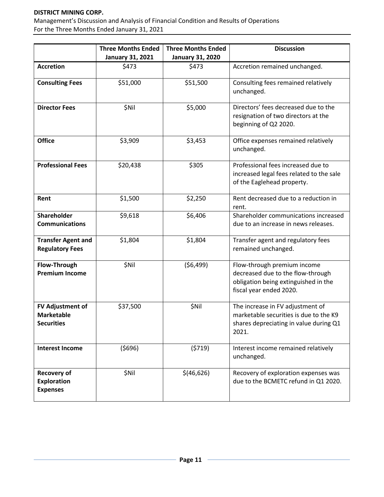#### **DISTRICT MINING CORP.**

Management's Discussion and Analysis of Financial Condition and Results of Operations For the Three Months Ended January 31, 2021

|                                                                   | <b>Three Months Ended</b><br><b>January 31, 2021</b> | <b>Three Months Ended</b><br><b>January 31, 2020</b> | <b>Discussion</b>                                                                                                                   |
|-------------------------------------------------------------------|------------------------------------------------------|------------------------------------------------------|-------------------------------------------------------------------------------------------------------------------------------------|
| <b>Accretion</b>                                                  | \$473                                                | \$473                                                | Accretion remained unchanged.                                                                                                       |
| <b>Consulting Fees</b>                                            | \$51,000                                             | \$51,500                                             | Consulting fees remained relatively<br>unchanged.                                                                                   |
| <b>Director Fees</b>                                              | \$Nil                                                | \$5,000                                              | Directors' fees decreased due to the<br>resignation of two directors at the<br>beginning of Q2 2020.                                |
| <b>Office</b>                                                     | \$3,909                                              | \$3,453                                              | Office expenses remained relatively<br>unchanged.                                                                                   |
| <b>Professional Fees</b>                                          | \$20,438                                             | \$305                                                | Professional fees increased due to<br>increased legal fees related to the sale<br>of the Eaglehead property.                        |
| Rent                                                              | \$1,500                                              | \$2,250                                              | Rent decreased due to a reduction in<br>rent.                                                                                       |
| <b>Shareholder</b><br><b>Communications</b>                       | \$9,618                                              | \$6,406                                              | Shareholder communications increased<br>due to an increase in news releases.                                                        |
| <b>Transfer Agent and</b><br><b>Regulatory Fees</b>               | \$1,804                                              | \$1,804                                              | Transfer agent and regulatory fees<br>remained unchanged.                                                                           |
| Flow-Through<br><b>Premium Income</b>                             | \$Nil                                                | (56, 499)                                            | Flow-through premium income<br>decreased due to the flow-through<br>obligation being extinguished in the<br>fiscal year ended 2020. |
| <b>FV Adjustment of</b><br><b>Marketable</b><br><b>Securities</b> | \$37,500                                             | \$Nil                                                | The increase in FV adjustment of<br>marketable securities is due to the K9<br>shares depreciating in value during Q1<br>2021.       |
| <b>Interest Income</b>                                            | (5696)                                               | (5719)                                               | Interest income remained relatively<br>unchanged.                                                                                   |
| <b>Recovery of</b><br><b>Exploration</b><br><b>Expenses</b>       | \$Nil                                                | \$(46,626)                                           | Recovery of exploration expenses was<br>due to the BCMETC refund in Q1 2020.                                                        |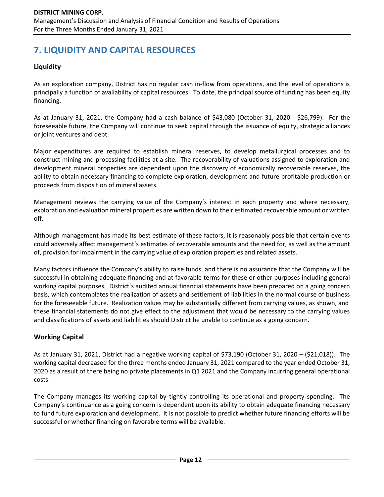# **7. LIQUIDITY AND CAPITAL RESOURCES**

# **Liquidity**

As an exploration company, District has no regular cash in-flow from operations, and the level of operations is principally a function of availability of capital resources. To date, the principal source of funding has been equity financing.

As at January 31, 2021, the Company had a cash balance of \$43,080 (October 31, 2020 - \$26,799). For the foreseeable future, the Company will continue to seek capital through the issuance of equity, strategic alliances or joint ventures and debt.

Major expenditures are required to establish mineral reserves, to develop metallurgical processes and to construct mining and processing facilities at a site. The recoverability of valuations assigned to exploration and development mineral properties are dependent upon the discovery of economically recoverable reserves, the ability to obtain necessary financing to complete exploration, development and future profitable production or proceeds from disposition of mineral assets.

Management reviews the carrying value of the Company's interest in each property and where necessary, exploration and evaluation mineral properties are written down to their estimated recoverable amount or written off.

Although management has made its best estimate of these factors, it is reasonably possible that certain events could adversely affect management's estimates of recoverable amounts and the need for, as well as the amount of, provision for impairment in the carrying value of exploration properties and related assets.

Many factors influence the Company's ability to raise funds, and there is no assurance that the Company will be successful in obtaining adequate financing and at favorable terms for these or other purposes including general working capital purposes. District's audited annual financial statements have been prepared on a going concern basis, which contemplates the realization of assets and settlement of liabilities in the normal course of business for the foreseeable future. Realization values may be substantially different from carrying values, as shown, and these financial statements do not give effect to the adjustment that would be necessary to the carrying values and classifications of assets and liabilities should District be unable to continue as a going concern.

## **Working Capital**

As at January 31, 2021, District had a negative working capital of \$73,190 (October 31, 2020 – (\$21,018)). The working capital decreased for the three months ended January 31, 2021 compared to the year ended October 31, 2020 as a result of there being no private placements in Q1 2021 and the Company incurring general operational costs.

The Company manages its working capital by tightly controlling its operational and property spending. The Company's continuance as a going concern is dependent upon its ability to obtain adequate financing necessary to fund future exploration and development. It is not possible to predict whether future financing efforts will be successful or whether financing on favorable terms will be available.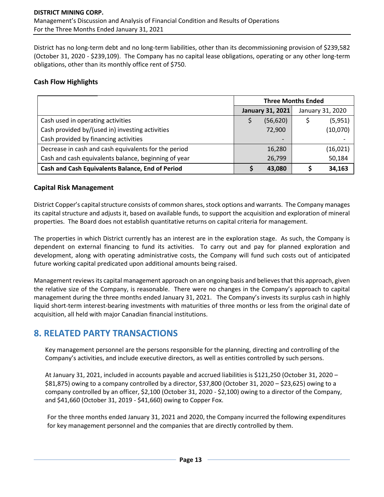District has no long-term debt and no long-term liabilities, other than its decommissioning provision of \$239,582 (October 31, 2020 - \$239,109). The Company has no capital lease obligations, operating or any other long-term obligations, other than its monthly office rent of \$750.

### **Cash Flow Highlights**

|                                                      | <b>Three Months Ended</b> |                         |                  |           |  |
|------------------------------------------------------|---------------------------|-------------------------|------------------|-----------|--|
|                                                      |                           | <b>January 31, 2021</b> | January 31, 2020 |           |  |
| Cash used in operating activities                    |                           | (56, 620)               |                  | (5,951)   |  |
| Cash provided by/(used in) investing activities      |                           | 72,900                  |                  | (10,070)  |  |
| Cash provided by financing activities                |                           |                         |                  |           |  |
| Decrease in cash and cash equivalents for the period |                           | 16,280                  |                  | (16, 021) |  |
| Cash and cash equivalents balance, beginning of year |                           | 26,799                  |                  | 50,184    |  |
| Cash and Cash Equivalents Balance, End of Period     |                           | 43,080                  |                  | 34,163    |  |

### **Capital Risk Management**

District Copper's capital structure consists of common shares, stock options and warrants. The Company manages its capital structure and adjusts it, based on available funds, to support the acquisition and exploration of mineral properties. The Board does not establish quantitative returns on capital criteria for management.

The properties in which District currently has an interest are in the exploration stage. As such, the Company is dependent on external financing to fund its activities. To carry out and pay for planned exploration and development, along with operating administrative costs, the Company will fund such costs out of anticipated future working capital predicated upon additional amounts being raised.

Management reviews its capital management approach on an ongoing basis and believes that this approach, given the relative size of the Company, is reasonable. There were no changes in the Company's approach to capital management during the three months ended January 31, 2021. The Company's invests its surplus cash in highly liquid short-term interest-bearing investments with maturities of three months or less from the original date of acquisition, all held with major Canadian financial institutions.

# **8. RELATED PARTY TRANSACTIONS**

Key management personnel are the persons responsible for the planning, directing and controlling of the Company's activities, and include executive directors, as well as entities controlled by such persons.

At January 31, 2021, included in accounts payable and accrued liabilities is \$121,250 (October 31, 2020 – \$81,875) owing to a company controlled by a director, \$37,800 (October 31, 2020 – \$23,625) owing to a company controlled by an officer, \$2,100 (October 31, 2020 - \$2,100) owing to a director of the Company, and \$41,660 (October 31, 2019 - \$41,660) owing to Copper Fox.

For the three months ended January 31, 2021 and 2020, the Company incurred the following expenditures for key management personnel and the companies that are directly controlled by them.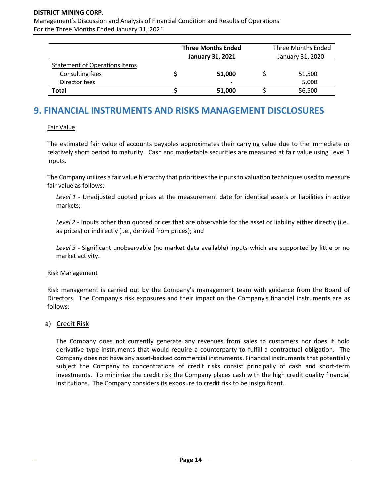#### **DISTRICT MINING CORP.**

Management's Discussion and Analysis of Financial Condition and Results of Operations For the Three Months Ended January 31, 2021

|                                                         | <b>Three Months Ended</b><br><b>January 31, 2021</b> | Three Months Ended<br>January 31, 2020 |        |  |  |
|---------------------------------------------------------|------------------------------------------------------|----------------------------------------|--------|--|--|
| <b>Statement of Operations Items</b><br>Consulting fees | 51,000                                               |                                        | 51,500 |  |  |
| Director fees                                           | $\blacksquare$                                       |                                        | 5,000  |  |  |
| Total                                                   | 51,000                                               |                                        | 56,500 |  |  |

# **9. FINANCIAL INSTRUMENTS AND RISKS MANAGEMENT DISCLOSURES**

#### Fair Value

The estimated fair value of accounts payables approximates their carrying value due to the immediate or relatively short period to maturity. Cash and marketable securities are measured at fair value using Level 1 inputs.

The Company utilizes a fair value hierarchy that prioritizes the inputs to valuation techniques used to measure fair value as follows:

*Level 1* - Unadjusted quoted prices at the measurement date for identical assets or liabilities in active markets;

*Level 2* - Inputs other than quoted prices that are observable for the asset or liability either directly (i.e., as prices) or indirectly (i.e., derived from prices); and

*Level 3* - Significant unobservable (no market data available) inputs which are supported by little or no market activity.

#### Risk Management

Risk management is carried out by the Company's management team with guidance from the Board of Directors. The Company's risk exposures and their impact on the Company's financial instruments are as follows:

### a) Credit Risk

The Company does not currently generate any revenues from sales to customers nor does it hold derivative type instruments that would require a counterparty to fulfill a contractual obligation. The Company does not have any asset-backed commercial instruments. Financial instruments that potentially subject the Company to concentrations of credit risks consist principally of cash and short-term investments. To minimize the credit risk the Company places cash with the high credit quality financial institutions. The Company considers its exposure to credit risk to be insignificant.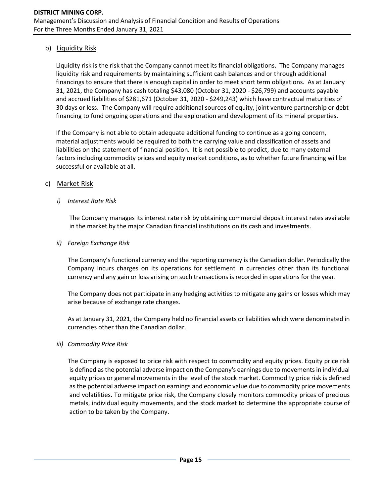### b) Liquidity Risk

Liquidity risk is the risk that the Company cannot meet its financial obligations. The Company manages liquidity risk and requirements by maintaining sufficient cash balances and or through additional financings to ensure that there is enough capital in order to meet short term obligations. As at January 31, 2021, the Company has cash totaling \$43,080 (October 31, 2020 - \$26,799) and accounts payable and accrued liabilities of \$281,671 (October 31, 2020 - \$249,243) which have contractual maturities of 30 days or less. The Company will require additional sources of equity, joint venture partnership or debt financing to fund ongoing operations and the exploration and development of its mineral properties.

If the Company is not able to obtain adequate additional funding to continue as a going concern, material adjustments would be required to both the carrying value and classification of assets and liabilities on the statement of financial position. It is not possible to predict, due to many external factors including commodity prices and equity market conditions, as to whether future financing will be successful or available at all.

### c) Market Risk

#### *i) Interest Rate Risk*

The Company manages its interest rate risk by obtaining commercial deposit interest rates available in the market by the major Canadian financial institutions on its cash and investments.

#### *ii) Foreign Exchange Risk*

The Company's functional currency and the reporting currency is the Canadian dollar. Periodically the Company incurs charges on its operations for settlement in currencies other than its functional currency and any gain or loss arising on such transactions is recorded in operations for the year.

The Company does not participate in any hedging activities to mitigate any gains or losses which may arise because of exchange rate changes.

As at January 31, 2021, the Company held no financial assets or liabilities which were denominated in currencies other than the Canadian dollar.

#### *iii) Commodity Price Risk*

The Company is exposed to price risk with respect to commodity and equity prices. Equity price risk is defined as the potential adverse impact on the Company's earnings due to movements in individual equity prices or general movements in the level of the stock market. Commodity price risk is defined as the potential adverse impact on earnings and economic value due to commodity price movements and volatilities. To mitigate price risk, the Company closely monitors commodity prices of precious metals, individual equity movements, and the stock market to determine the appropriate course of action to be taken by the Company.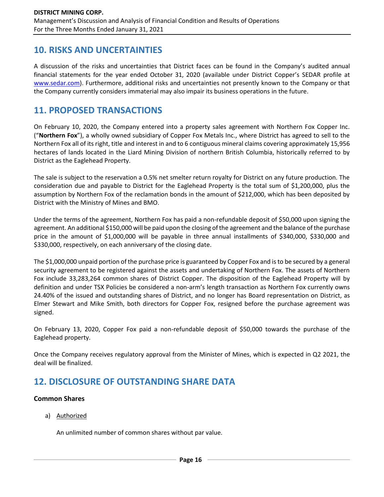# **10. RISKS AND UNCERTAINTIES**

A discussion of the risks and uncertainties that District faces can be found in the Company's audited annual financial statements for the year ended October 31, 2020 (available under District Copper's SEDAR profile at [www.sedar.com\)](http://www.sedar.com/). Furthermore, additional risks and uncertainties not presently known to the Company or that the Company currently considers immaterial may also impair its business operations in the future.

# **11. PROPOSED TRANSACTIONS**

On February 10, 2020, the Company entered into a property sales agreement with Northern Fox Copper Inc. ("**Northern Fox**"), a wholly owned subsidiary of Copper Fox Metals Inc., where District has agreed to sell to the Northern Fox all of its right, title and interest in and to 6 contiguous mineral claims covering approximately 15,956 hectares of lands located in the Liard Mining Division of northern British Columbia, historically referred to by District as the Eaglehead Property.

The sale is subject to the reservation a 0.5% net smelter return royalty for District on any future production. The consideration due and payable to District for the Eaglehead Property is the total sum of \$1,200,000, plus the assumption by Northern Fox of the reclamation bonds in the amount of \$212,000, which has been deposited by District with the Ministry of Mines and BMO.

Under the terms of the agreement, Northern Fox has paid a non-refundable deposit of \$50,000 upon signing the agreement. An additional \$150,000 will be paid upon the closing of the agreement and the balance of the purchase price in the amount of \$1,000,000 will be payable in three annual installments of \$340,000, \$330,000 and \$330,000, respectively, on each anniversary of the closing date.

The \$1,000,000 unpaid portion of the purchase price is guaranteed by Copper Fox and is to be secured by a general security agreement to be registered against the assets and undertaking of Northern Fox. The assets of Northern Fox include 33,283,264 common shares of District Copper. The disposition of the Eaglehead Property will by definition and under TSX Policies be considered a non-arm's length transaction as Northern Fox currently owns 24.40% of the issued and outstanding shares of District, and no longer has Board representation on District, as Elmer Stewart and Mike Smith, both directors for Copper Fox, resigned before the purchase agreement was signed.

On February 13, 2020, Copper Fox paid a non-refundable deposit of \$50,000 towards the purchase of the Eaglehead property.

Once the Company receives regulatory approval from the Minister of Mines, which is expected in Q2 2021, the deal will be finalized.

# **12. DISCLOSURE OF OUTSTANDING SHARE DATA**

## **Common Shares**

a) Authorized

An unlimited number of common shares without par value.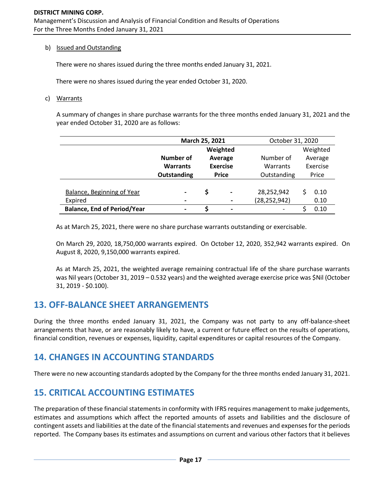#### b) Issued and Outstanding

There were no shares issued during the three months ended January 31, 2021.

There were no shares issued during the year ended October 31, 2020.

c) Warrants

A summary of changes in share purchase warrants for the three months ended January 31, 2021 and the year ended October 31, 2020 are as follows:

|                                    | March 25, 2021           |                            |                          | October 31, 2020 |       |          |  |
|------------------------------------|--------------------------|----------------------------|--------------------------|------------------|-------|----------|--|
|                                    | Weighted                 |                            |                          |                  |       | Weighted |  |
|                                    | Number of                | Average<br><b>Exercise</b> |                          | Number of        |       | Average  |  |
|                                    | <b>Warrants</b>          |                            |                          | Warrants         |       | Exercise |  |
|                                    | <b>Outstanding</b>       | <b>Price</b>               |                          | Outstanding      | Price |          |  |
|                                    |                          |                            |                          |                  |       |          |  |
| Balance, Beginning of Year         | -                        | \$                         | $\overline{\phantom{0}}$ | 28,252,942       |       | 0.10     |  |
| Expired                            | $\overline{\phantom{a}}$ |                            |                          | (28, 252, 942)   |       | 0.10     |  |
| <b>Balance, End of Period/Year</b> | $\blacksquare$           | $\overline{\phantom{0}}$   |                          |                  |       | 0.10     |  |

As at March 25, 2021, there were no share purchase warrants outstanding or exercisable.

On March 29, 2020, 18,750,000 warrants expired. On October 12, 2020, 352,942 warrants expired. On August 8, 2020, 9,150,000 warrants expired.

As at March 25, 2021, the weighted average remaining contractual life of the share purchase warrants was Nil years (October 31, 2019 – 0.532 years) and the weighted average exercise price was \$Nil (October 31, 2019 - \$0.100).

# **13. OFF-BALANCE SHEET ARRANGEMENTS**

During the three months ended January 31, 2021, the Company was not party to any off-balance-sheet arrangements that have, or are reasonably likely to have, a current or future effect on the results of operations, financial condition, revenues or expenses, liquidity, capital expenditures or capital resources of the Company.

# **14. CHANGES IN ACCOUNTING STANDARDS**

There were no new accounting standards adopted by the Company for the three months ended January 31, 2021.

# **15. CRITICAL ACCOUNTING ESTIMATES**

The preparation of these financial statements in conformity with IFRS requires management to make judgements, estimates and assumptions which affect the reported amounts of assets and liabilities and the disclosure of contingent assets and liabilities at the date of the financial statements and revenues and expenses for the periods reported. The Company bases its estimates and assumptions on current and various other factors that it believes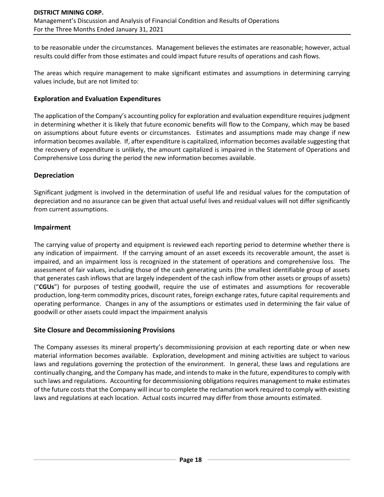to be reasonable under the circumstances. Management believes the estimates are reasonable; however, actual results could differ from those estimates and could impact future results of operations and cash flows.

The areas which require management to make significant estimates and assumptions in determining carrying values include, but are not limited to:

### **Exploration and Evaluation Expenditures**

The application of the Company's accounting policy for exploration and evaluation expenditure requires judgment in determining whether it is likely that future economic benefits will flow to the Company, which may be based on assumptions about future events or circumstances. Estimates and assumptions made may change if new information becomes available. If, after expenditure is capitalized, information becomes available suggesting that the recovery of expenditure is unlikely, the amount capitalized is impaired in the Statement of Operations and Comprehensive Loss during the period the new information becomes available.

### **Depreciation**

Significant judgment is involved in the determination of useful life and residual values for the computation of depreciation and no assurance can be given that actual useful lives and residual values will not differ significantly from current assumptions.

### **Impairment**

The carrying value of property and equipment is reviewed each reporting period to determine whether there is any indication of impairment. If the carrying amount of an asset exceeds its recoverable amount, the asset is impaired, and an impairment loss is recognized in the statement of operations and comprehensive loss. The assessment of fair values, including those of the cash generating units (the smallest identifiable group of assets that generates cash inflows that are largely independent of the cash inflow from other assets or groups of assets) ("**CGUs**") for purposes of testing goodwill, require the use of estimates and assumptions for recoverable production, long-term commodity prices, discount rates, foreign exchange rates, future capital requirements and operating performance. Changes in any of the assumptions or estimates used in determining the fair value of goodwill or other assets could impact the impairment analysis

### **Site Closure and Decommissioning Provisions**

The Company assesses its mineral property's decommissioning provision at each reporting date or when new material information becomes available. Exploration, development and mining activities are subject to various laws and regulations governing the protection of the environment. In general, these laws and regulations are continually changing, and the Company has made, and intends to make in the future, expenditures to comply with such laws and regulations. Accounting for decommissioning obligations requires management to make estimates of the future costs that the Company will incur to complete the reclamation work required to comply with existing laws and regulations at each location. Actual costs incurred may differ from those amounts estimated.